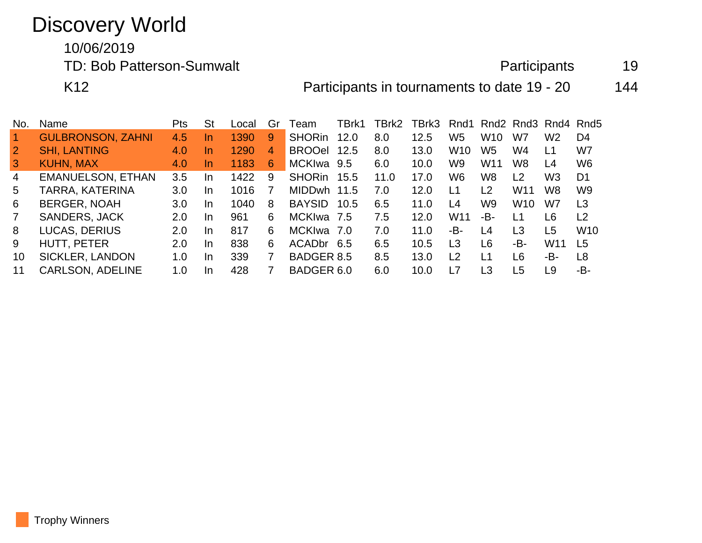## Discovery World

10/06/2019

TD: Bob Patterson-Sumwalt and the extendion of the Participants and 19

K12 **Participants in tournaments to date 19 - 20** 144

| No.            | Name                     | Pts | <b>St</b> | Local | Gr | ⊺eam                   | TBrk1 | TBrk2 | TBrk3 | Rnd1            |                 |                 | Rnd2 Rnd3 Rnd4 Rnd5 |                 |
|----------------|--------------------------|-----|-----------|-------|----|------------------------|-------|-------|-------|-----------------|-----------------|-----------------|---------------------|-----------------|
| $\overline{1}$ | <b>GULBRONSON, ZAHNI</b> | 4.5 | In        | 1390  | 9  | <b>SHORin</b>          | 12.0  | 8.0   | 12.5  | W <sub>5</sub>  | W <sub>10</sub> | W7              | W <sub>2</sub>      | D4              |
| $\overline{2}$ | <b>SHI, LANTING</b>      | 4.0 | In        | 1290  | 4  | <b>BROOel</b>          | 12.5  | 8.0   | 13.0  | W <sub>10</sub> | W5              | W4              | L1                  | W7              |
| $\mathbf{3}$   | <b>KUHN, MAX</b>         | 4.0 | In.       | 1183  | 6  | MCKIwa 9.5             |       | 6.0   | 10.0  | W9              | W <sub>11</sub> | W8              | L4                  | W <sub>6</sub>  |
| $\overline{4}$ | <b>EMANUELSON, ETHAN</b> | 3.5 | In.       | 1422  | 9  | <b>SHORin</b>          | 15.5  | 11.0  | 17.0  | W6              | W <sub>8</sub>  | L <sub>2</sub>  | W <sub>3</sub>      | D <sub>1</sub>  |
| 5              | TARRA, KATERINA          | 3.0 | In.       | 1016  |    | <b>MIDDwh</b>          | 11.5  | 7.0   | 12.0  | L1              | $\overline{2}$  | W <sub>11</sub> | W8                  | W <sub>9</sub>  |
| 6              | <b>BERGER, NOAH</b>      | 3.0 | In        | 1040  | 8  | <b>BAYSID</b>          | 10.5  | 6.5   | 11.0  | L4              | W9              | W <sub>10</sub> | W7                  | L3              |
| $\overline{7}$ | <b>SANDERS, JACK</b>     | 2.0 | In        | 961   | 6  | <b>MCKIwa</b>          | - 7.5 | 7.5   | 12.0  | W <sub>11</sub> | -B-             | L1              | L6                  | L <sub>2</sub>  |
| 8              | <b>LUCAS, DERIUS</b>     | 2.0 | In.       | 817   | 6  | <b>MCKIwa</b>          | . 7.0 | 7.0   | 11.0  | -В-             | L4              | L3              | L <sub>5</sub>      | W <sub>10</sub> |
| 9              | HUTT, PETER              | 2.0 | In.       | 838   | 6  | ACAD <sub>br</sub> 6.5 |       | 6.5   | 10.5  | L <sub>3</sub>  | L6              | -B-             | W <sub>11</sub>     | L <sub>5</sub>  |
| 10             | <b>SICKLER, LANDON</b>   | 1.0 | In.       | 339   | 7  | <b>BADGER 8.5</b>      |       | 8.5   | 13.0  | L <sub>2</sub>  | L1              | L6              | -B-                 | L8              |
| 11             | <b>CARLSON, ADELINE</b>  | 1.0 | In.       | 428   |    | BADGER 6.0             |       | 6.0   | 10.0  | L7              | L3              | L5              | L9                  | -B-             |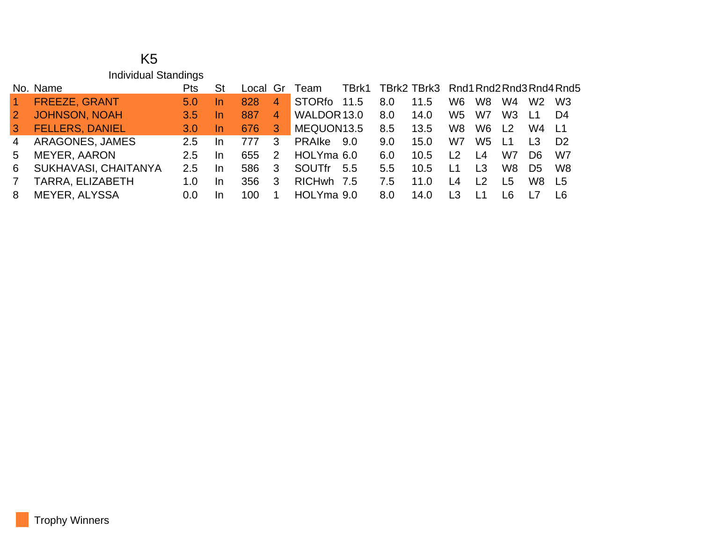## K5 Individual Standings

|                | No. Name               | Pts.          | -St |      |                   | Local Gr Team TBrk1 TBrk2 TBrk3 Rnd1 Rnd2 Rnd3 Rnd4 Rnd5 |     |     |      |                |                |                |                |                |
|----------------|------------------------|---------------|-----|------|-------------------|----------------------------------------------------------|-----|-----|------|----------------|----------------|----------------|----------------|----------------|
| $\sim$         | <b>FREEZE, GRANT</b>   | 5.0           | In. | 828  | $\overline{4}$    | STORfo 11.5                                              |     | 8.0 | 11.5 | W <sub>6</sub> | W8             | W4             | W2 W3          |                |
| $\overline{2}$ | <b>JOHNSON, NOAH</b>   | 3.5           | In. | 887  | $\vert 4 \rangle$ | WALDOR 13.0                                              |     | 8.0 | 14.0 | W5             | W7             | W3             | $\mathsf{L}$ 1 | D4             |
| 3 <sup>1</sup> | <b>FELLERS, DANIEL</b> | 3.0           | In. | -676 | 3 <sup>°</sup>    | MEQUON13.5                                               |     | 8.5 | 13.5 | W8             | W6             | L <sub>2</sub> | W4 L1          |                |
| $\overline{4}$ | ARAGONES, JAMES        | $2.5^{\circ}$ | In. | 777  | 3                 | PRAIke 9.0                                               |     | 9.0 | 15.0 | W7             | W5             | -L1            | $\overline{1}$ | D <sub>2</sub> |
| $5 -$          | MEYER, AARON           | $2.5^{\circ}$ | In. | 655  | 2                 | HOLYma 6.0                                               |     | 6.0 | 10.5 | L <sub>2</sub> | L <sub>4</sub> | W7             | D6.            | W7             |
|                | 6 SUKHAVASI, CHAITANYA | 2.5           | In. | 586  | -3                | SOUTfr                                                   | 5.5 | 5.5 | 10.5 | L <sub>1</sub> | L <sub>3</sub> | W8             | D <sub>5</sub> | W8             |
| 7              | TARRA, ELIZABETH       | 1.0           | In. | 356  | -3                | RICHwh 7.5                                               |     | 7.5 | 11.0 | L <sub>4</sub> | L <sub>2</sub> | I 5            | W8 L5          |                |
| 8              | MEYER, ALYSSA          | 0.0           | In  | 100. |                   | HOLYma 9.0                                               |     | 8.0 | 14.0 | L3             | L <sub>1</sub> | I 6.           | <u> 17</u>     | - 16           |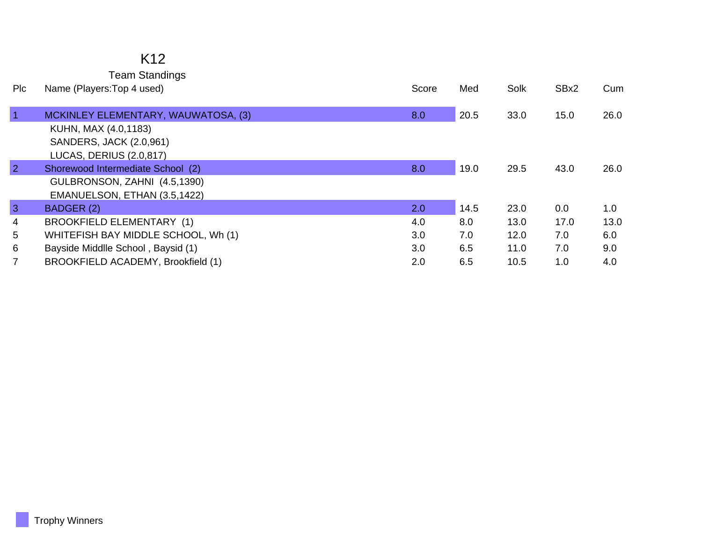## K12

Team Standings

| Plc            | Name (Players: Top 4 used)          | Score | Med  | Solk | SBx2 | Cum  |
|----------------|-------------------------------------|-------|------|------|------|------|
|                |                                     |       |      |      |      |      |
| $\overline{1}$ | MCKINLEY ELEMENTARY, WAUWATOSA, (3) | 8.0   | 20.5 | 33.0 | 15.0 | 26.0 |
|                | KUHN, MAX (4.0,1183)                |       |      |      |      |      |
|                | SANDERS, JACK (2.0,961)             |       |      |      |      |      |
|                | <b>LUCAS, DERIUS (2.0,817)</b>      |       |      |      |      |      |
| $\overline{2}$ | Shorewood Intermediate School (2)   | 8.0   | 19.0 | 29.5 | 43.0 | 26.0 |
|                | GULBRONSON, ZAHNI (4.5,1390)        |       |      |      |      |      |
|                | EMANUELSON, ETHAN (3.5,1422)        |       |      |      |      |      |
| $\mathbf{3}$   | BADGER (2)                          | 2.0   | 14.5 | 23.0 | 0.0  | 1.0  |
| $\overline{4}$ | BROOKFIELD ELEMENTARY (1)           | 4.0   | 8.0  | 13.0 | 17.0 | 13.0 |
| 5              | WHITEFISH BAY MIDDLE SCHOOL, Wh (1) | 3.0   | 7.0  | 12.0 | 7.0  | 6.0  |
| 6              | Bayside Middlle School, Baysid (1)  | 3.0   | 6.5  | 11.0 | 7.0  | 9.0  |
| $\overline{7}$ | BROOKFIELD ACADEMY, Brookfield (1)  | 2.0   | 6.5  | 10.5 | 1.0  | 4.0  |